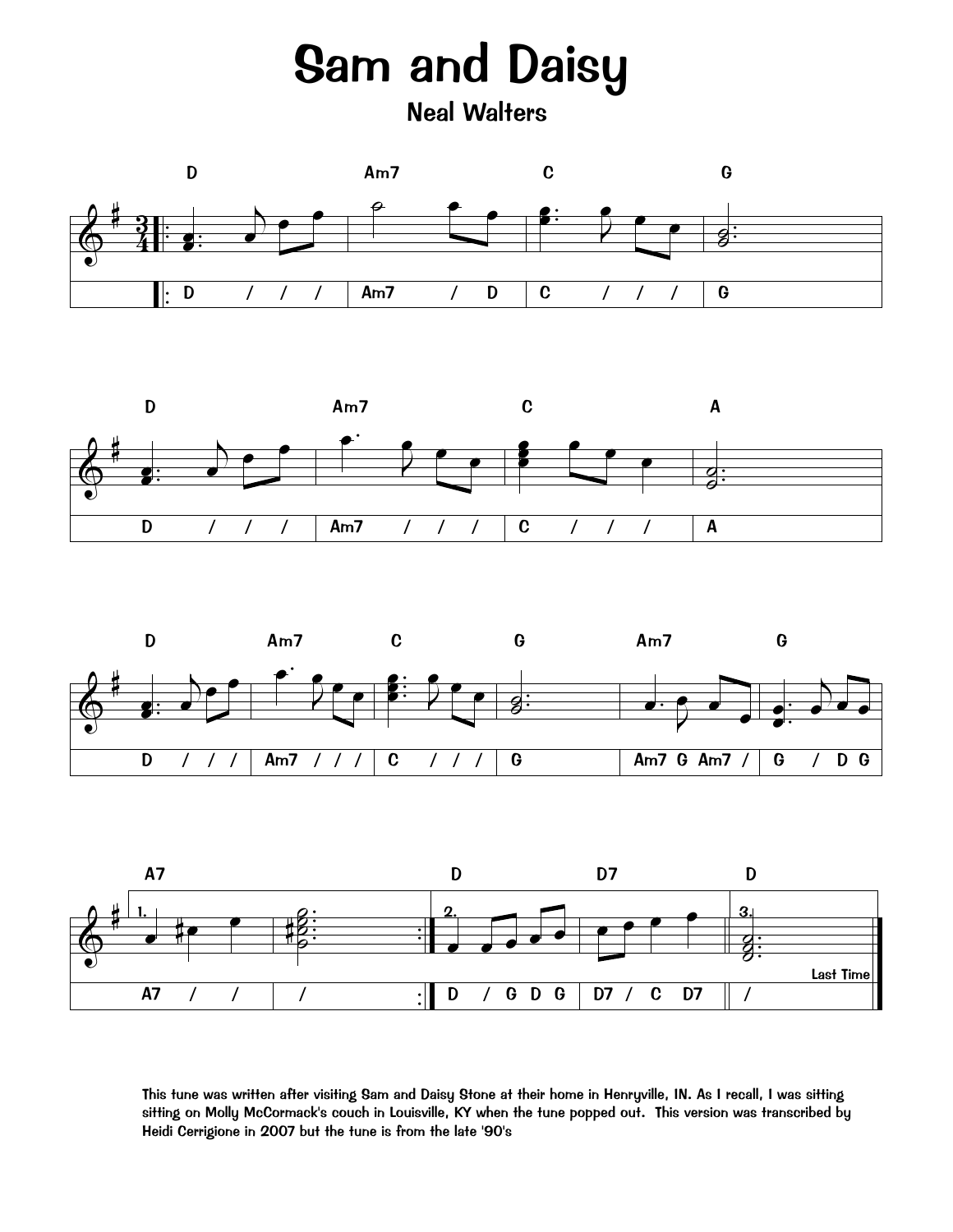## Sam and Daisy

Neal Walters









This tune was written after visiting Sam and Daisy Stone at their home in Henryville, IN. As I recall, I was sitting sitting on Molly McCormack's couch in Louisville, KY when the tune popped out. This version was transcribed by Heidi Cerrigione in 2007 but the tune is from the late '90's